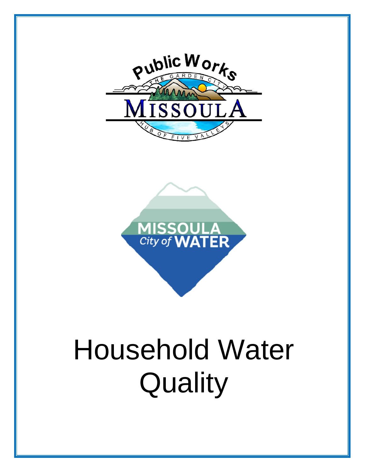



# Household Water **Quality**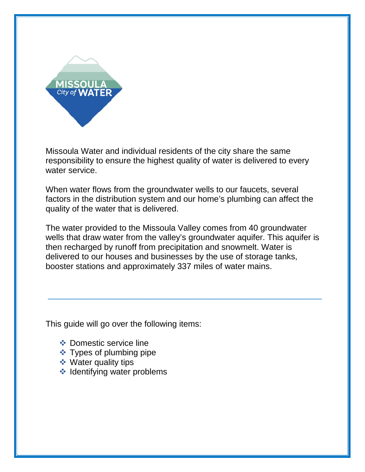

Missoula Water and individual residents of the city share the same responsibility to ensure the highest quality of water is delivered to every water service.

When water flows from the groundwater wells to our faucets, several factors in the distribution system and our home's plumbing can affect the quality of the water that is delivered.

The water provided to the Missoula Valley comes from 40 groundwater wells that draw water from the valley's groundwater aquifer. This aquifer is then recharged by runoff from precipitation and snowmelt. Water is delivered to our houses and businesses by the use of storage tanks, booster stations and approximately 337 miles of water mains.

\_\_\_\_\_\_\_\_\_\_\_\_\_\_\_\_\_\_\_\_\_\_\_\_\_\_\_\_\_\_\_\_\_\_\_\_\_\_\_\_\_\_\_\_\_\_\_\_\_\_\_\_\_\_\_\_\_\_\_

This guide will go over the following items:

- **❖** Domestic service line
- $\div$  Types of plumbing pipe
- **❖ Water quality tips**
- $\triangleleft$  Identifying water problems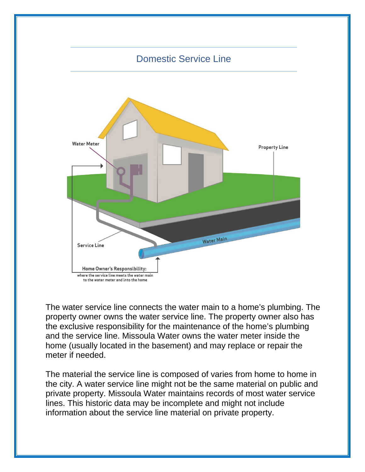

The water service line connects the water main to a home's plumbing. The property owner owns the water service line. The property owner also has the exclusive responsibility for the maintenance of the home's plumbing and the service line. Missoula Water owns the water meter inside the home (usually located in the basement) and may replace or repair the meter if needed.

The material the service line is composed of varies from home to home in the city. A water service line might not be the same material on public and private property. Missoula Water maintains records of most water service lines. This historic data may be incomplete and might not include information about the service line material on private property.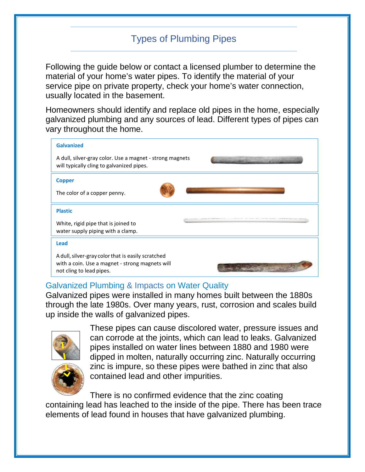# Types of Plumbing Pipes

Following the guide below or contact a licensed plumber to determine the material of your home's water pipes. To identify the material of your service pipe on private property, check your home's water connection, usually located in the basement.

Homeowners should identify and replace old pipes in the home, especially galvanized plumbing and any sources of lead. Different types of pipes can vary throughout the home.

| <b>Galvanized</b><br>A dull, silver-gray color. Use a magnet - strong magnets<br>will typically cling to galvanized pipes.<br><b>Copper</b><br>The color of a copper penny. |                |
|-----------------------------------------------------------------------------------------------------------------------------------------------------------------------------|----------------|
|                                                                                                                                                                             |                |
|                                                                                                                                                                             |                |
|                                                                                                                                                                             |                |
|                                                                                                                                                                             |                |
|                                                                                                                                                                             | <b>Plastic</b> |
| White, rigid pipe that is joined to<br>water supply piping with a clamp.                                                                                                    |                |
| <b>Lead</b>                                                                                                                                                                 |                |
| A dull, silver-gray color that is easily scratched<br>with a coin. Use a magnet - strong magnets will<br>not cling to lead pipes.                                           |                |

#### Galvanized Plumbing & Impacts on Water Quality

Galvanized pipes were installed in many homes built between the 1880s through the late 1980s. Over many years, rust, corrosion and scales build up inside the walls of galvanized pipes.



These pipes can cause discolored water, pressure issues and can corrode at the joints, which can lead to leaks. Galvanized pipes installed on water lines between 1880 and 1980 were dipped in molten, naturally occurring zinc. Naturally occurring zinc is impure, so these pipes were bathed in zinc that also contained lead and other impurities.

There is no confirmed evidence that the zinc coating containing lead has leached to the inside of the pipe. There has been trace elements of lead found in houses that have galvanized plumbing.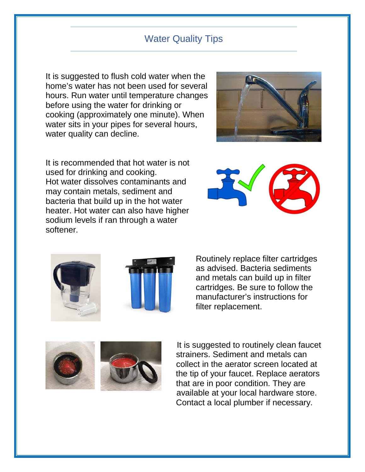#### Water Quality Tips

It is suggested to flush cold water when the home's water has not been used for several hours. Run water until temperature changes before using the water for drinking or cooking (approximately one minute). When water sits in your pipes for several hours, water quality can decline.



It is recommended that hot water is not used for drinking and cooking. Hot water dissolves contaminants and may contain metals, sediment and bacteria that build up in the hot water heater. Hot water can also have higher sodium levels if ran through a water softener.





Routinely replace filter cartridges as advised. Bacteria sediments and metals can build up in filter cartridges. Be sure to follow the manufacturer's instructions for filter replacement.





 It is suggested to routinely clean faucet strainers. Sediment and metals can collect in the aerator screen located at the tip of your faucet. Replace aerators that are in poor condition. They are available at your local hardware store. Contact a local plumber if necessary.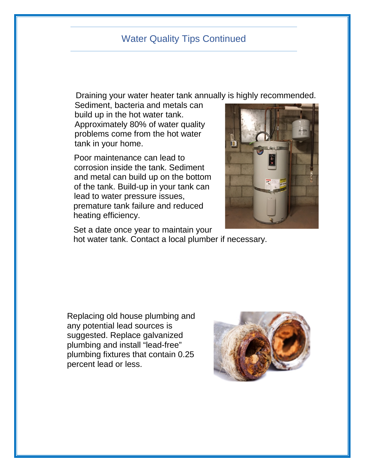#### Water Quality Tips Continued

Draining your water heater tank annually is highly recommended.

Sediment, bacteria and metals can build up in the hot water tank. Approximately 80% of water quality problems come from the hot water tank in your home.

 Poor maintenance can lead to corrosion inside the tank. Sediment and metal can build up on the bottom of the tank. Build-up in your tank can lead to water pressure issues, premature tank failure and reduced heating efficiency.



 Set a date once year to maintain your hot water tank. Contact a local plumber if necessary.

Replacing old house plumbing and any potential lead sources is suggested. Replace galvanized plumbing and install "lead-free" plumbing fixtures that contain 0.25 percent lead or less.

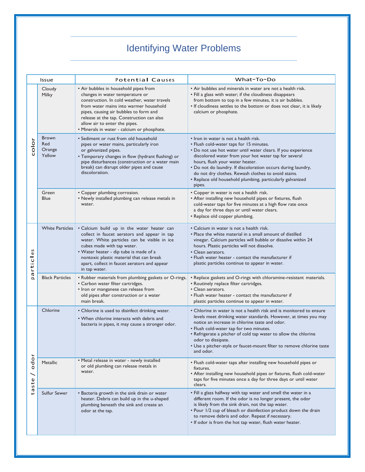# Identifying Water Problems

| Issue                       |                                         | Potential Causes                                                                                                                                                                                                                                                                                                                          | What-To-Do                                                                                                                                                                                                                                                                                                                                                                                                                                |
|-----------------------------|-----------------------------------------|-------------------------------------------------------------------------------------------------------------------------------------------------------------------------------------------------------------------------------------------------------------------------------------------------------------------------------------------|-------------------------------------------------------------------------------------------------------------------------------------------------------------------------------------------------------------------------------------------------------------------------------------------------------------------------------------------------------------------------------------------------------------------------------------------|
|                             | Cloudy<br>Milky                         | • Air bubbles in household pipes from<br>changes in water temperature or<br>construction. In cold weather, water travels<br>from water mains into warmer household<br>pipes, causing air bubbles to form and<br>release at the tap. Construction can also<br>allow air to enter the pipes.<br>• Minerals in water - calcium or phosphate. | • Air bubbles and minerals in water are not a health risk.<br>• Fill a glass with water; if the cloudiness disappears<br>from bottom to top in a few minutes, it is air bubbles.<br>. If cloudiness settles to the bottom or does not clear, it is likely<br>calcium or phosphate.                                                                                                                                                        |
| color                       | <b>Brown</b><br>Red<br>Orange<br>Yellow | • Sediment or rust from old household<br>pipes or water mains, particularly iron<br>or galvanized pipes.<br>• Temporary changes in flow (hydrant flushing) or<br>pipe disturbances (construction or a water main<br>break) can disrupt older pipes and cause<br>discoloration.                                                            | • Iron in water is not a health risk.<br>• Flush cold-water taps for 15 minutes.<br>. Do not use hot water until water clears. If you experience<br>discolored water from your hot water tap for several<br>hours, flush your water heater.<br>. Do not do laundry. If discoloration occurs during laundry,<br>do not dry clothes. Rewash clothes to avoid stains.<br>• Replace old household plumbing, particularly galvanized<br>pipes. |
|                             | Green<br>Blue                           | • Copper plumbing corrosion.<br>• Newly installed plumbing can release metals in<br>water.                                                                                                                                                                                                                                                | • Copper in water is not a health risk.<br>• After installing new household pipes or fixtures, flush<br>cold-water taps for five minutes at a high flow rate once<br>a day for three days or until water clears.<br>• Replace old copper plumbing.                                                                                                                                                                                        |
| n<br>$\mathbbmss{}$<br>rtic | <b>White Particles</b>                  | . Calcium build up in the water heater can<br>collect in faucet aerators and appear in tap<br>water. White particles can be visible in ice<br>cubes made with tap water.<br>• Water heater - dip tube is made of a<br>nontoxic plastic material that can break<br>apart, collect in faucet aerators and appear<br>in tap water.           | • Calcium in water is not a health risk.<br>• Place the white material in a small amount of distilled<br>vinegar. Calcium particles will bubble or dissolve within 24<br>hours. Plastic particles will not dissolve.<br>• Clean aerators.<br>• Flush water heater - contact the manufacturer if<br>plastic particles continue to appear in water.                                                                                         |
| <b>ID</b>                   | <b>Black Particles</b>                  | • Rubber materials from plumbing gaskets or O-rings.<br>• Carbon water filter cartridges.<br>• Iron or manganese can release from<br>old pipes after construction or a water<br>main break.                                                                                                                                               | • Replace gaskets and O-rings with chloramine-resistant materials.<br>• Routinely replace filter cartridges.<br>• Clean aerators.<br>• Flush water heater - contact the manufacturer if<br>plastic particles continue to appear in water.                                                                                                                                                                                                 |
|                             | Chlorine                                | • Chlorine is used to disinfect drinking water.<br>• When chlorine interacts with debris and<br>bacteria in pipes, it may cause a stronger odor.                                                                                                                                                                                          | • Chlorine in water is not a health risk and is monitored to ensure<br>levels meet drinking water standards. However, at times you may<br>notice an increase in chlorine taste and odor.<br>• Flush cold-water tap for two minutes.<br>• Refrigerate a pitcher of cold tap water to allow the chlorine<br>odor to dissipate.<br>• Use a pitcher-style or faucet-mount filter to remove chlorine taste<br>and odor.                        |
| ŏ<br>ರ<br>೦<br>taste        | Metallic                                | • Metal release in water - newly installed<br>or old plumbing can release metals in<br>water.                                                                                                                                                                                                                                             | • Flush cold-water taps after installing new household pipes or<br>fixtures.<br>• After installing new household pipes or fixtures, flush cold-water<br>taps for five minutes once a day for three days or until water<br>clears.                                                                                                                                                                                                         |
|                             | Sulfur Sewer                            | • Bacteria growth in the sink drain or water<br>heater. Debris can build up in the u-shaped<br>plumbing beneath the sink and create an<br>odor at the tap.                                                                                                                                                                                | . Fill a glass halfway with tap water and smell the water in a<br>different room. If the odor is no longer present, the odor<br>is likely from the sink drain, not the tap water.<br>. Pour 1/2 cup of bleach or disinfection product down the drain<br>to remove debris and odor. Repeat if necessary.<br>. If odor is from the hot tap water, flush water heater.                                                                       |